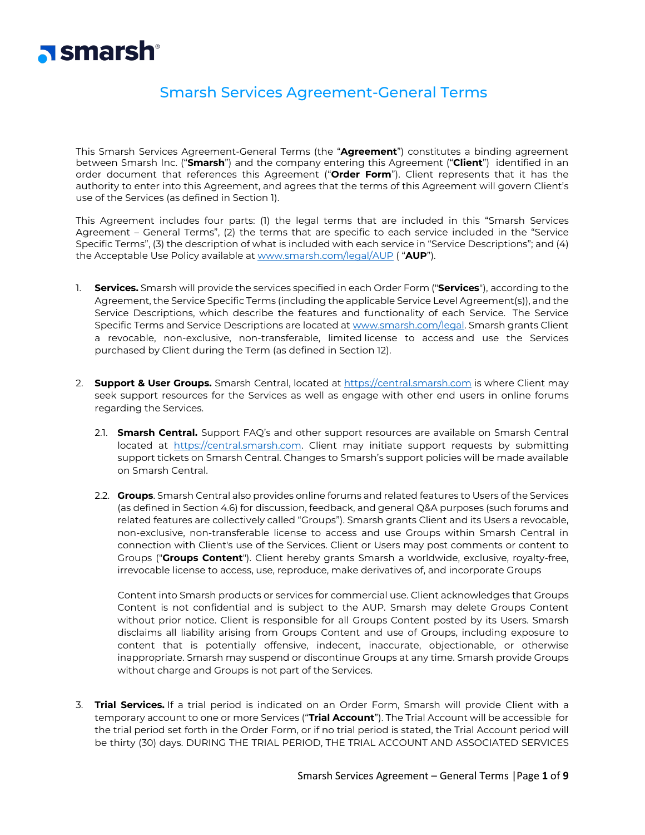

# Smarsh Services Agreement-General Terms

This Smarsh Services Agreement-General Terms (the "**Agreement**") constitutes a binding agreement between Smarsh Inc. ("**Smarsh**") and the company entering this Agreement ("**Client**") identified in an order document that references this Agreement ("**Order Form**"). Client represents that it has the authority to enter into this Agreement, and agrees that the terms of this Agreement will govern Client's use of the Services (as defined in Section 1).

This Agreement includes four parts: (1) the legal terms that are included in this "Smarsh Services Agreement – General Terms", (2) the terms that are specific to each service included in the "Service Specific Terms", (3) the description of what is included with each service in "Service Descriptions"; and (4) the Acceptable Use Policy available at [www.smarsh.com/legal/AUP](http://www.smarsh.com/legal/AUP) ( "**AUP**").

- 1. **Services.** Smarsh will provide the services specified in each Order Form ("**Services**"), according to the Agreement, the Service Specific Terms (including the applicable Service Level Agreement(s)), and the Service Descriptions, which describe the features and functionality of each Service. The Service Specific Terms and Service Descriptions are located at [www.smarsh.com/legal.](http://www.smarsh.com/legal) Smarsh grants Client a revocable, non-exclusive, non-transferable, limited license to access and use the Services purchased by Client during the Term (as defined in Section 12).
- 2. **Support & User Groups.** Smarsh Central, located at [https://central.smarsh.com](https://central.smarsh.com/) is where Client may seek support resources for the Services as well as engage with other end users in online forums regarding the Services.
	- 2.1. **Smarsh Central.** Support FAQ's and other support resources are available on Smarsh Central located at [https://central.smarsh.com.](https://central.smarsh.com/) Client may initiate support requests by submitting support tickets on Smarsh Central. Changes to Smarsh's support policies will be made available on Smarsh Central.
	- 2.2. **Groups**. Smarsh Central also provides online forums and related features to Users of the Services (as defined in Section 4.6) for discussion, feedback, and general Q&A purposes (such forums and related features are collectively called "Groups"). Smarsh grants Client and its Users a revocable, non-exclusive, non-transferable license to access and use Groups within Smarsh Central in connection with Client's use of the Services. Client or Users may post comments or content to Groups ("**Groups Content**"). Client hereby grants Smarsh a worldwide, exclusive, royalty-free, irrevocable license to access, use, reproduce, make derivatives of, and incorporate Groups

Content into Smarsh products or services for commercial use. Client acknowledges that Groups Content is not confidential and is subject to the AUP. Smarsh may delete Groups Content without prior notice. Client is responsible for all Groups Content posted by its Users. Smarsh disclaims all liability arising from Groups Content and use of Groups, including exposure to content that is potentially offensive, indecent, inaccurate, objectionable, or otherwise inappropriate. Smarsh may suspend or discontinue Groups at any time. Smarsh provide Groups without charge and Groups is not part of the Services.

3. **Trial Services.** If a trial period is indicated on an Order Form, Smarsh will provide Client with a temporary account to one or more Services ("**Trial Account**"). The Trial Account will be accessible for the trial period set forth in the Order Form, or if no trial period is stated, the Trial Account period will be thirty (30) days. DURING THE TRIAL PERIOD, THE TRIAL ACCOUNT AND ASSOCIATED SERVICES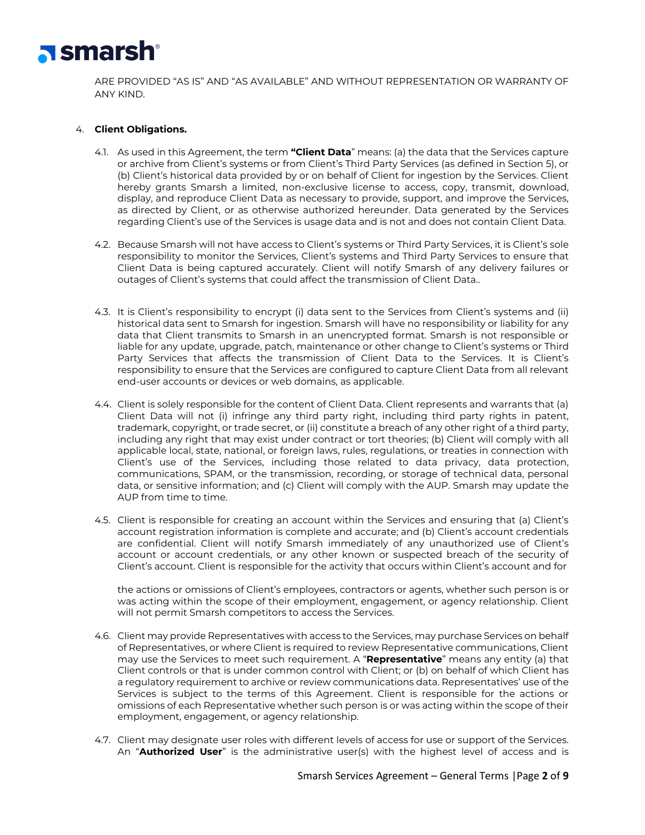

ARE PROVIDED "AS IS" AND "AS AVAILABLE" AND WITHOUT REPRESENTATION OR WARRANTY OF ANY KIND.

# 4. **Client Obligations.**

- 4.1. As used in this Agreement, the term **"Client Data**" means: (a) the data that the Services capture or archive from Client's systems or from Client's Third Party Services (as defined in Section 5), or (b) Client's historical data provided by or on behalf of Client for ingestion by the Services. Client hereby grants Smarsh a limited, non-exclusive license to access, copy, transmit, download, display, and reproduce Client Data as necessary to provide, support, and improve the Services, as directed by Client, or as otherwise authorized hereunder. Data generated by the Services regarding Client's use of the Services is usage data and is not and does not contain Client Data.
- 4.2. Because Smarsh will not have access to Client's systems or Third Party Services, it is Client's sole responsibility to monitor the Services, Client's systems and Third Party Services to ensure that Client Data is being captured accurately. Client will notify Smarsh of any delivery failures or outages of Client's systems that could affect the transmission of Client Data..
- 4.3. It is Client's responsibility to encrypt (i) data sent to the Services from Client's systems and (ii) historical data sent to Smarsh for ingestion. Smarsh will have no responsibility or liability for any data that Client transmits to Smarsh in an unencrypted format. Smarsh is not responsible or liable for any update, upgrade, patch, maintenance or other change to Client's systems or Third Party Services that affects the transmission of Client Data to the Services. It is Client's responsibility to ensure that the Services are configured to capture Client Data from all relevant end-user accounts or devices or web domains, as applicable.
- 4.4. Client is solely responsible for the content of Client Data. Client represents and warrants that (a) Client Data will not (i) infringe any third party right, including third party rights in patent, trademark, copyright, or trade secret, or (ii) constitute a breach of any other right of a third party, including any right that may exist under contract or tort theories; (b) Client will comply with all applicable local, state, national, or foreign laws, rules, regulations, or treaties in connection with Client's use of the Services, including those related to data privacy, data protection, communications, SPAM, or the transmission, recording, or storage of technical data, personal data, or sensitive information; and (c) Client will comply with the AUP. Smarsh may update the AUP from time to time.
- 4.5. Client is responsible for creating an account within the Services and ensuring that (a) Client's account registration information is complete and accurate; and (b) Client's account credentials are confidential. Client will notify Smarsh immediately of any unauthorized use of Client's account or account credentials, or any other known or suspected breach of the security of Client's account. Client is responsible for the activity that occurs within Client's account and for

the actions or omissions of Client's employees, contractors or agents, whether such person is or was acting within the scope of their employment, engagement, or agency relationship. Client will not permit Smarsh competitors to access the Services.

- 4.6. Client may provide Representatives with access to the Services, may purchase Services on behalf of Representatives, or where Client is required to review Representative communications, Client may use the Services to meet such requirement. A "**Representative**" means any entity (a) that Client controls or that is under common control with Client; or (b) on behalf of which Client has a regulatory requirement to archive or review communications data. Representatives' use of the Services is subject to the terms of this Agreement. Client is responsible for the actions or omissions of each Representative whether such person is or was acting within the scope of their employment, engagement, or agency relationship.
- 4.7. Client may designate user roles with different levels of access for use or support of the Services. An "**Authorized User**" is the administrative user(s) with the highest level of access and is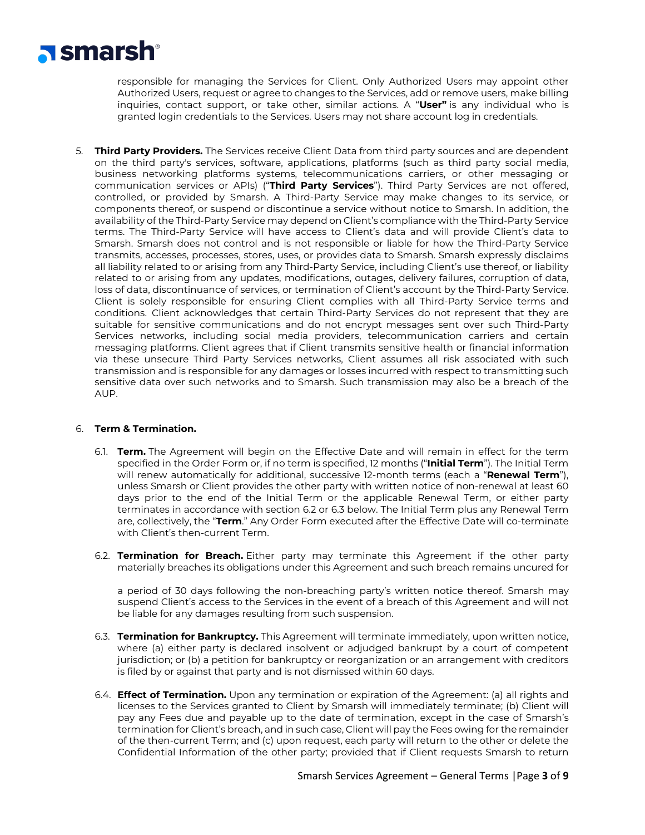

responsible for managing the Services for Client. Only Authorized Users may appoint other Authorized Users, request or agree to changes to the Services, add or remove users, make billing inquiries, contact support, or take other, similar actions. A "**User"** is any individual who is granted login credentials to the Services. Users may not share account log in credentials.

5. **Third Party Providers.** The Services receive Client Data from third party sources and are dependent on the third party's services, software, applications, platforms (such as third party social media, business networking platforms systems, telecommunications carriers, or other messaging or communication services or APIs) ("**Third Party Services**"). Third Party Services are not offered, controlled, or provided by Smarsh. A Third-Party Service may make changes to its service, or components thereof, or suspend or discontinue a service without notice to Smarsh. In addition, the availability of the Third-Party Service may depend on Client's compliance with the Third-Party Service terms. The Third-Party Service will have access to Client's data and will provide Client's data to Smarsh. Smarsh does not control and is not responsible or liable for how the Third-Party Service transmits, accesses, processes, stores, uses, or provides data to Smarsh. Smarsh expressly disclaims all liability related to or arising from any Third-Party Service, including Client's use thereof, or liability related to or arising from any updates, modifications, outages, delivery failures, corruption of data, loss of data, discontinuance of services, or termination of Client's account by the Third-Party Service. Client is solely responsible for ensuring Client complies with all Third-Party Service terms and conditions. Client acknowledges that certain Third-Party Services do not represent that they are suitable for sensitive communications and do not encrypt messages sent over such Third-Party Services networks, including social media providers, telecommunication carriers and certain messaging platforms. Client agrees that if Client transmits sensitive health or financial information via these unsecure Third Party Services networks, Client assumes all risk associated with such transmission and is responsible for any damages or losses incurred with respect to transmitting such sensitive data over such networks and to Smarsh. Such transmission may also be a breach of the AUP.

## 6. **Term & Termination.**

- 6.1. **Term.** The Agreement will begin on the Effective Date and will remain in effect for the term specified in the Order Form or, if no term is specified, 12 months ("**Initial Term**"). The Initial Term will renew automatically for additional, successive 12-month terms (each a "**Renewal Term**"), unless Smarsh or Client provides the other party with written notice of non-renewal at least 60 days prior to the end of the Initial Term or the applicable Renewal Term, or either party terminates in accordance with section 6.2 or 6.3 below. The Initial Term plus any Renewal Term are, collectively, the "**Term**." Any Order Form executed after the Effective Date will co-terminate with Client's then-current Term.
- 6.2. **Termination for Breach.** Either party may terminate this Agreement if the other party materially breaches its obligations under this Agreement and such breach remains uncured for

a period of 30 days following the non-breaching party's written notice thereof. Smarsh may suspend Client's access to the Services in the event of a breach of this Agreement and will not be liable for any damages resulting from such suspension.

- 6.3. **Termination for Bankruptcy.** This Agreement will terminate immediately, upon written notice, where (a) either party is declared insolvent or adjudged bankrupt by a court of competent jurisdiction; or (b) a petition for bankruptcy or reorganization or an arrangement with creditors is filed by or against that party and is not dismissed within 60 days.
- 6.4. **Effect of Termination.** Upon any termination or expiration of the Agreement: (a) all rights and licenses to the Services granted to Client by Smarsh will immediately terminate; (b) Client will pay any Fees due and payable up to the date of termination, except in the case of Smarsh's termination for Client's breach, and in such case, Client will pay the Fees owing for the remainder of the then-current Term; and (c) upon request, each party will return to the other or delete the Confidential Information of the other party; provided that if Client requests Smarsh to return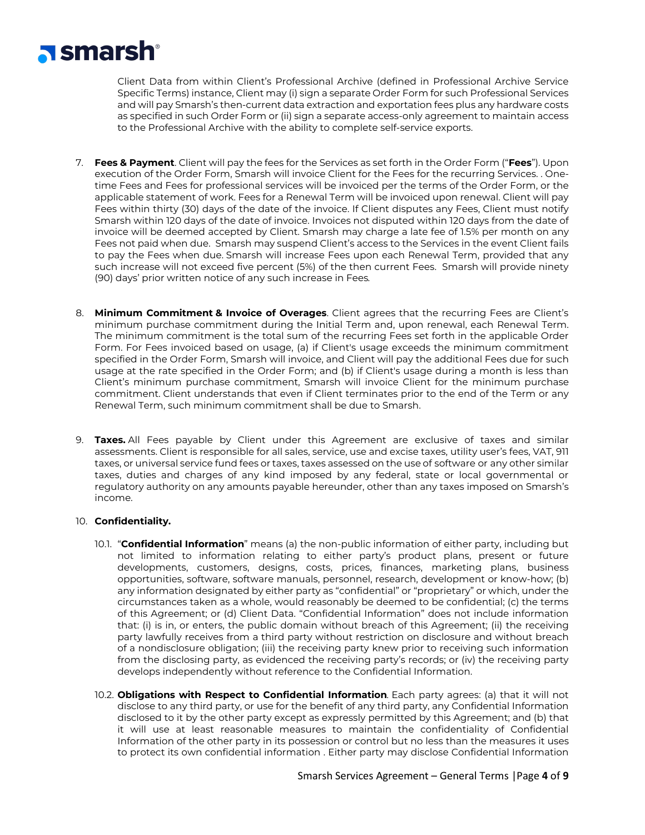# **Nismarsh**<sup>®</sup>

Client Data from within Client's Professional Archive (defined in Professional Archive Service Specific Terms) instance, Client may (i) sign a separate Order Form for such Professional Services and will pay Smarsh's then-current data extraction and exportation fees plus any hardware costs as specified in such Order Form or (ii) sign a separate access-only agreement to maintain access to the Professional Archive with the ability to complete self-service exports.

- 7. **Fees & Payment**. Client will pay the fees for the Services as set forth in the Order Form ("**Fees**"). Upon execution of the Order Form, Smarsh will invoice Client for the Fees for the recurring Services. . Onetime Fees and Fees for professional services will be invoiced per the terms of the Order Form, or the applicable statement of work. Fees for a Renewal Term will be invoiced upon renewal. Client will pay Fees within thirty (30) days of the date of the invoice. If Client disputes any Fees, Client must notify Smarsh within 120 days of the date of invoice. Invoices not disputed within 120 days from the date of invoice will be deemed accepted by Client. Smarsh may charge a late fee of 1.5% per month on any Fees not paid when due. Smarsh may suspend Client's access to the Services in the event Client fails to pay the Fees when due. Smarsh will increase Fees upon each Renewal Term, provided that any such increase will not exceed five percent (5%) of the then current Fees. Smarsh will provide ninety (90) days' prior written notice of any such increase in Fees*.*
- 8. **Minimum Commitment & Invoice of Overages**. Client agrees that the recurring Fees are Client's minimum purchase commitment during the Initial Term and, upon renewal, each Renewal Term. The minimum commitment is the total sum of the recurring Fees set forth in the applicable Order Form. For Fees invoiced based on usage, (a) if Client's usage exceeds the minimum commitment specified in the Order Form, Smarsh will invoice, and Client will pay the additional Fees due for such usage at the rate specified in the Order Form; and (b) if Client's usage during a month is less than Client's minimum purchase commitment, Smarsh will invoice Client for the minimum purchase commitment. Client understands that even if Client terminates prior to the end of the Term or any Renewal Term, such minimum commitment shall be due to Smarsh.
- 9. **Taxes.** All Fees payable by Client under this Agreement are exclusive of taxes and similar assessments. Client is responsible for all sales, service, use and excise taxes, utility user's fees, VAT, 911 taxes, or universal service fund fees or taxes, taxes assessed on the use of software or any other similar taxes, duties and charges of any kind imposed by any federal, state or local governmental or regulatory authority on any amounts payable hereunder, other than any taxes imposed on Smarsh's income.

# 10. **Confidentiality.**

- 10.1. "**Confidential Information**" means (a) the non-public information of either party, including but not limited to information relating to either party's product plans, present or future developments, customers, designs, costs, prices, finances, marketing plans, business opportunities, software, software manuals, personnel, research, development or know-how; (b) any information designated by either party as "confidential" or "proprietary" or which, under the circumstances taken as a whole, would reasonably be deemed to be confidential; (c) the terms of this Agreement; or (d) Client Data. "Confidential Information" does not include information that: (i) is in, or enters, the public domain without breach of this Agreement; (ii) the receiving party lawfully receives from a third party without restriction on disclosure and without breach of a nondisclosure obligation; (iii) the receiving party knew prior to receiving such information from the disclosing party, as evidenced the receiving party's records; or (iv) the receiving party develops independently without reference to the Confidential Information.
- 10.2. **Obligations with Respect to Confidential Information***.* Each party agrees: (a) that it will not disclose to any third party, or use for the benefit of any third party, any Confidential Information disclosed to it by the other party except as expressly permitted by this Agreement; and (b) that it will use at least reasonable measures to maintain the confidentiality of Confidential Information of the other party in its possession or control but no less than the measures it uses to protect its own confidential information . Either party may disclose Confidential Information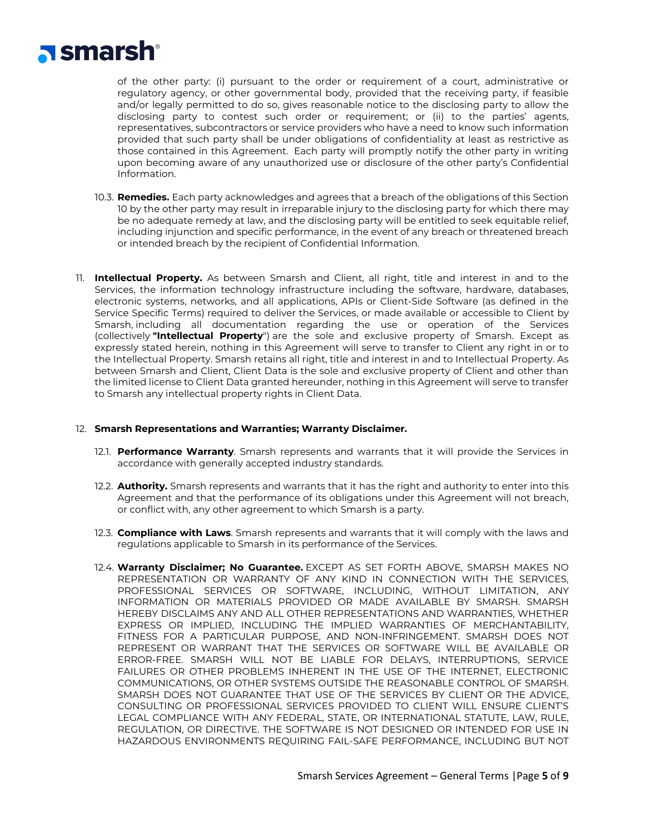

of the other party: (i) pursuant to the order or requirement of a court, administrative or regulatory agency, or other governmental body, provided that the receiving party, if feasible and/or legally permitted to do so, gives reasonable notice to the disclosing party to allow the disclosing party to contest such order or requirement; or (ii) to the parties' agents, representatives, subcontractors or service providers who have a need to know such information provided that such party shall be under obligations of confidentiality at least as restrictive as those contained in this Agreement. Each party will promptly notify the other party in writing upon becoming aware of any unauthorized use or disclosure of the other party's Confidential Information.

- 10.3. **Remedies.** Each party acknowledges and agrees that a breach of the obligations of this Section 10 by the other party may result in irreparable injury to the disclosing party for which there may be no adequate remedy at law, and the disclosing party will be entitled to seek equitable relief, including injunction and specific performance, in the event of any breach or threatened breach or intended breach by the recipient of Confidential Information.
- 11. **Intellectual Property.** As between Smarsh and Client, all right, title and interest in and to the Services, the information technology infrastructure including the software, hardware, databases, electronic systems, networks, and all applications, APIs or Client-Side Software (as defined in the Service Specific Terms) required to deliver the Services, or made available or accessible to Client by Smarsh, including all documentation regarding the use or operation of the Services (collectively **"Intellectual Property**") are the sole and exclusive property of Smarsh. Except as expressly stated herein, nothing in this Agreement will serve to transfer to Client any right in or to the Intellectual Property. Smarsh retains all right, title and interest in and to Intellectual Property. As between Smarsh and Client, Client Data is the sole and exclusive property of Client and other than the limited license to Client Data granted hereunder, nothing in this Agreement will serve to transfer to Smarsh any intellectual property rights in Client Data.

#### 12. **Smarsh Representations and Warranties; Warranty Disclaimer.**

- 12.1. **Performance Warranty**. Smarsh represents and warrants that it will provide the Services in accordance with generally accepted industry standards.
- 12.2. **Authority.** Smarsh represents and warrants that it has the right and authority to enter into this Agreement and that the performance of its obligations under this Agreement will not breach, or conflict with, any other agreement to which Smarsh is a party.
- 12.3. **Compliance with Laws**. Smarsh represents and warrants that it will comply with the laws and regulations applicable to Smarsh in its performance of the Services.
- 12.4. **Warranty Disclaimer; No Guarantee.** EXCEPT AS SET FORTH ABOVE, SMARSH MAKES NO REPRESENTATION OR WARRANTY OF ANY KIND IN CONNECTION WITH THE SERVICES, PROFESSIONAL SERVICES OR SOFTWARE, INCLUDING, WITHOUT LIMITATION, ANY INFORMATION OR MATERIALS PROVIDED OR MADE AVAILABLE BY SMARSH. SMARSH HEREBY DISCLAIMS ANY AND ALL OTHER REPRESENTATIONS AND WARRANTIES, WHETHER EXPRESS OR IMPLIED, INCLUDING THE IMPLIED WARRANTIES OF MERCHANTABILITY, FITNESS FOR A PARTICULAR PURPOSE, AND NON-INFRINGEMENT. SMARSH DOES NOT REPRESENT OR WARRANT THAT THE SERVICES OR SOFTWARE WILL BE AVAILABLE OR ERROR-FREE. SMARSH WILL NOT BE LIABLE FOR DELAYS, INTERRUPTIONS, SERVICE FAILURES OR OTHER PROBLEMS INHERENT IN THE USE OF THE INTERNET, ELECTRONIC COMMUNICATIONS, OR OTHER SYSTEMS OUTSIDE THE REASONABLE CONTROL OF SMARSH. SMARSH DOES NOT GUARANTEE THAT USE OF THE SERVICES BY CLIENT OR THE ADVICE, CONSULTING OR PROFESSIONAL SERVICES PROVIDED TO CLIENT WILL ENSURE CLIENT'S LEGAL COMPLIANCE WITH ANY FEDERAL, STATE, OR INTERNATIONAL STATUTE, LAW, RULE, REGULATION, OR DIRECTIVE. THE SOFTWARE IS NOT DESIGNED OR INTENDED FOR USE IN HAZARDOUS ENVIRONMENTS REQUIRING FAIL-SAFE PERFORMANCE, INCLUDING BUT NOT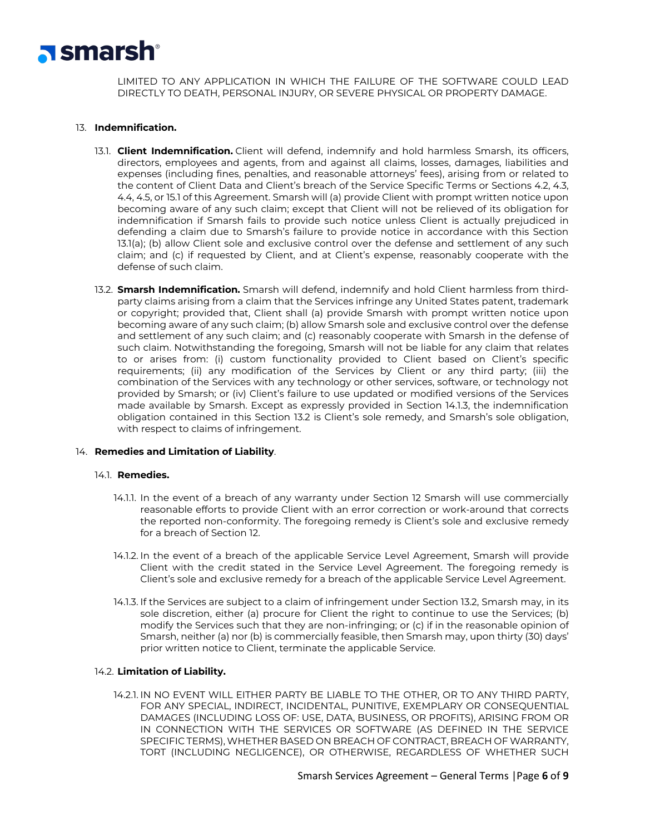

LIMITED TO ANY APPLICATION IN WHICH THE FAILURE OF THE SOFTWARE COULD LEAD DIRECTLY TO DEATH, PERSONAL INJURY, OR SEVERE PHYSICAL OR PROPERTY DAMAGE.

# 13. **Indemnification.**

- 13.1. **Client Indemnification.** Client will defend, indemnify and hold harmless Smarsh, its officers, directors, employees and agents, from and against all claims, losses, damages, liabilities and expenses (including fines, penalties, and reasonable attorneys' fees), arising from or related to the content of Client Data and Client's breach of the Service Specific Terms or Sections 4.2, 4.3, 4.4, 4.5, or 15.1 of this Agreement. Smarsh will (a) provide Client with prompt written notice upon becoming aware of any such claim; except that Client will not be relieved of its obligation for indemnification if Smarsh fails to provide such notice unless Client is actually prejudiced in defending a claim due to Smarsh's failure to provide notice in accordance with this Section 13.1(a); (b) allow Client sole and exclusive control over the defense and settlement of any such claim; and (c) if requested by Client, and at Client's expense, reasonably cooperate with the defense of such claim.
- 13.2. **Smarsh Indemnification.** Smarsh will defend, indemnify and hold Client harmless from thirdparty claims arising from a claim that the Services infringe any United States patent, trademark or copyright; provided that, Client shall (a) provide Smarsh with prompt written notice upon becoming aware of any such claim; (b) allow Smarsh sole and exclusive control over the defense and settlement of any such claim; and (c) reasonably cooperate with Smarsh in the defense of such claim. Notwithstanding the foregoing, Smarsh will not be liable for any claim that relates to or arises from: (i) custom functionality provided to Client based on Client's specific requirements; (ii) any modification of the Services by Client or any third party; (iii) the combination of the Services with any technology or other services, software, or technology not provided by Smarsh; or (iv) Client's failure to use updated or modified versions of the Services made available by Smarsh. Except as expressly provided in Section 14.1.3, the indemnification obligation contained in this Section 13.2 is Client's sole remedy, and Smarsh's sole obligation, with respect to claims of infringement.

# 14. **Remedies and Limitation of Liability**.

#### 14.1. **Remedies.**

- 14.1.1. In the event of a breach of any warranty under Section 12 Smarsh will use commercially reasonable efforts to provide Client with an error correction or work-around that corrects the reported non-conformity. The foregoing remedy is Client's sole and exclusive remedy for a breach of Section 12.
- 14.1.2. In the event of a breach of the applicable Service Level Agreement, Smarsh will provide Client with the credit stated in the Service Level Agreement. The foregoing remedy is Client's sole and exclusive remedy for a breach of the applicable Service Level Agreement.
- 14.1.3. If the Services are subject to a claim of infringement under Section 13.2, Smarsh may, in its sole discretion, either (a) procure for Client the right to continue to use the Services; (b) modify the Services such that they are non-infringing; or (c) if in the reasonable opinion of Smarsh, neither (a) nor (b) is commercially feasible, then Smarsh may, upon thirty (30) days' prior written notice to Client, terminate the applicable Service.

#### 14.2. **Limitation of Liability.**

14.2.1. IN NO EVENT WILL EITHER PARTY BE LIABLE TO THE OTHER, OR TO ANY THIRD PARTY, FOR ANY SPECIAL, INDIRECT, INCIDENTAL, PUNITIVE, EXEMPLARY OR CONSEQUENTIAL DAMAGES (INCLUDING LOSS OF: USE, DATA, BUSINESS, OR PROFITS), ARISING FROM OR IN CONNECTION WITH THE SERVICES OR SOFTWARE (AS DEFINED IN THE SERVICE SPECIFIC TERMS), WHETHER BASED ON BREACH OF CONTRACT, BREACH OF WARRANTY, TORT (INCLUDING NEGLIGENCE), OR OTHERWISE, REGARDLESS OF WHETHER SUCH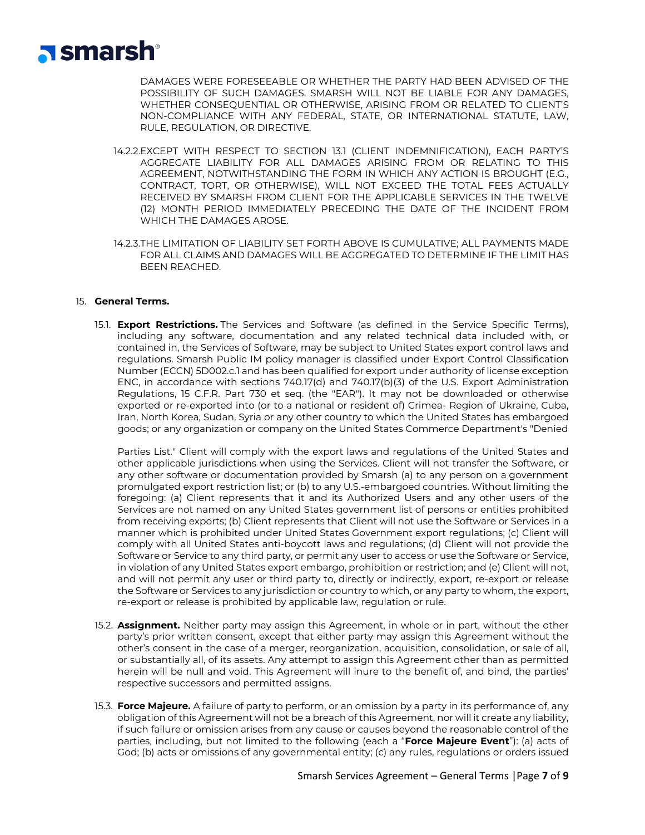

DAMAGES WERE FORESEEABLE OR WHETHER THE PARTY HAD BEEN ADVISED OF THE POSSIBILITY OF SUCH DAMAGES. SMARSH WILL NOT BE LIABLE FOR ANY DAMAGES, WHETHER CONSEQUENTIAL OR OTHERWISE, ARISING FROM OR RELATED TO CLIENT'S NON-COMPLIANCE WITH ANY FEDERAL, STATE, OR INTERNATIONAL STATUTE, LAW, RULE, REGULATION, OR DIRECTIVE.

- 14.2.2.EXCEPT WITH RESPECT TO SECTION 13.1 (CLIENT INDEMNIFICATION), EACH PARTY'S AGGREGATE LIABILITY FOR ALL DAMAGES ARISING FROM OR RELATING TO THIS AGREEMENT, NOTWITHSTANDING THE FORM IN WHICH ANY ACTION IS BROUGHT (E.G., CONTRACT, TORT, OR OTHERWISE), WILL NOT EXCEED THE TOTAL FEES ACTUALLY RECEIVED BY SMARSH FROM CLIENT FOR THE APPLICABLE SERVICES IN THE TWELVE (12) MONTH PERIOD IMMEDIATELY PRECEDING THE DATE OF THE INCIDENT FROM WHICH THE DAMAGES AROSE.
- 14.2.3.THE LIMITATION OF LIABILITY SET FORTH ABOVE IS CUMULATIVE; ALL PAYMENTS MADE FOR ALL CLAIMS AND DAMAGES WILL BE AGGREGATED TO DETERMINE IF THE LIMIT HAS BEEN REACHED.

### 15. **General Terms.**

15.1. **Export Restrictions.** The Services and Software (as defined in the Service Specific Terms), including any software, documentation and any related technical data included with, or contained in, the Services of Software, may be subject to United States export control laws and regulations. Smarsh Public IM policy manager is classified under Export Control Classification Number (ECCN) 5D002.c.1 and has been qualified for export under authority of license exception ENC, in accordance with sections 740.17(d) and 740.17(b)(3) of the U.S. Export Administration Regulations, 15 C.F.R. Part 730 et seq. (the "EAR"). It may not be downloaded or otherwise exported or re-exported into (or to a national or resident of) Crimea- Region of Ukraine, Cuba, Iran, North Korea, Sudan, Syria or any other country to which the United States has embargoed goods; or any organization or company on the United States Commerce Department's "Denied

Parties List." Client will comply with the export laws and regulations of the United States and other applicable jurisdictions when using the Services. Client will not transfer the Software, or any other software or documentation provided by Smarsh (a) to any person on a government promulgated export restriction list; or (b) to any U.S.-embargoed countries. Without limiting the foregoing: (a) Client represents that it and its Authorized Users and any other users of the Services are not named on any United States government list of persons or entities prohibited from receiving exports; (b) Client represents that Client will not use the Software or Services in a manner which is prohibited under United States Government export regulations; (c) Client will comply with all United States anti-boycott laws and regulations; (d) Client will not provide the Software or Service to any third party, or permit any user to access or use the Software or Service, in violation of any United States export embargo, prohibition or restriction; and (e) Client will not, and will not permit any user or third party to, directly or indirectly, export, re-export or release the Software or Services to any jurisdiction or country to which, or any party to whom, the export, re-export or release is prohibited by applicable law, regulation or rule.

- 15.2. **Assignment.** Neither party may assign this Agreement, in whole or in part, without the other party's prior written consent, except that either party may assign this Agreement without the other's consent in the case of a merger, reorganization, acquisition, consolidation, or sale of all, or substantially all, of its assets. Any attempt to assign this Agreement other than as permitted herein will be null and void. This Agreement will inure to the benefit of, and bind, the parties' respective successors and permitted assigns.
- 15.3. **Force Majeure.** A failure of party to perform, or an omission by a party in its performance of, any obligation of this Agreement will not be a breach of this Agreement, nor will it create any liability, if such failure or omission arises from any cause or causes beyond the reasonable control of the parties, including, but not limited to the following (each a "**Force Majeure Event**"): (a) acts of God; (b) acts or omissions of any governmental entity; (c) any rules, regulations or orders issued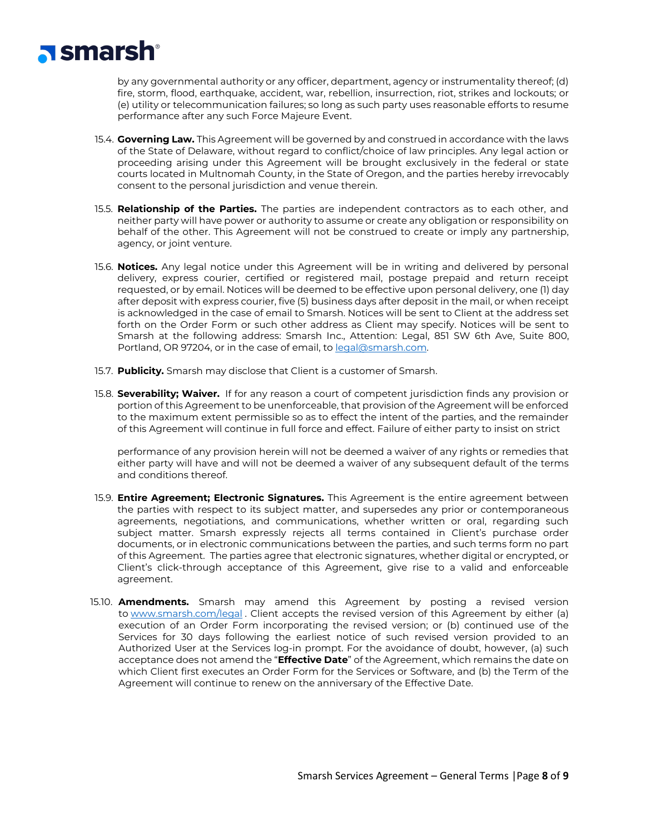

by any governmental authority or any officer, department, agency or instrumentality thereof; (d) fire, storm, flood, earthquake, accident, war, rebellion, insurrection, riot, strikes and lockouts; or (e) utility or telecommunication failures; so long as such party uses reasonable efforts to resume performance after any such Force Majeure Event.

- 15.4. **Governing Law.** This Agreement will be governed by and construed in accordance with the laws of the State of Delaware, without regard to conflict/choice of law principles. Any legal action or proceeding arising under this Agreement will be brought exclusively in the federal or state courts located in Multnomah County, in the State of Oregon, and the parties hereby irrevocably consent to the personal jurisdiction and venue therein.
- 15.5. **Relationship of the Parties.** The parties are independent contractors as to each other, and neither party will have power or authority to assume or create any obligation or responsibility on behalf of the other. This Agreement will not be construed to create or imply any partnership, agency, or joint venture.
- 15.6. **Notices.** Any legal notice under this Agreement will be in writing and delivered by personal delivery, express courier, certified or registered mail, postage prepaid and return receipt requested, or by email. Notices will be deemed to be effective upon personal delivery, one (1) day after deposit with express courier, five (5) business days after deposit in the mail, or when receipt is acknowledged in the case of email to Smarsh. Notices will be sent to Client at the address set forth on the Order Form or such other address as Client may specify. Notices will be sent to Smarsh at the following address: Smarsh Inc., Attention: Legal, 851 SW 6th Ave, Suite 800, Portland, OR 97204, or in the case of email, to [legal@smarsh.com.](mailto:legal@smarsh.com)
- 15.7. **Publicity.** Smarsh may disclose that Client is a customer of Smarsh.
- 15.8. **Severability; Waiver.** If for any reason a court of competent jurisdiction finds any provision or portion of this Agreement to be unenforceable, that provision of the Agreement will be enforced to the maximum extent permissible so as to effect the intent of the parties, and the remainder of this Agreement will continue in full force and effect. Failure of either party to insist on strict

performance of any provision herein will not be deemed a waiver of any rights or remedies that either party will have and will not be deemed a waiver of any subsequent default of the terms and conditions thereof.

- 15.9. **Entire Agreement; Electronic Signatures.** This Agreement is the entire agreement between the parties with respect to its subject matter, and supersedes any prior or contemporaneous agreements, negotiations, and communications, whether written or oral, regarding such subject matter. Smarsh expressly rejects all terms contained in Client's purchase order documents, or in electronic communications between the parties, and such terms form no part of this Agreement. The parties agree that electronic signatures, whether digital or encrypted, or Client's click-through acceptance of this Agreement, give rise to a valid and enforceable agreement.
- 15.10. **Amendments.** Smarsh may amend this Agreement by posting a revised version to [www.smarsh.com/legal](http://www.smarsh.com/legal) . Client accepts the revised version of this Agreement by either (a) execution of an Order Form incorporating the revised version; or (b) continued use of the Services for 30 days following the earliest notice of such revised version provided to an Authorized User at the Services log-in prompt. For the avoidance of doubt, however, (a) such acceptance does not amend the "**Effective Date**" of the Agreement, which remains the date on which Client first executes an Order Form for the Services or Software, and (b) the Term of the Agreement will continue to renew on the anniversary of the Effective Date.